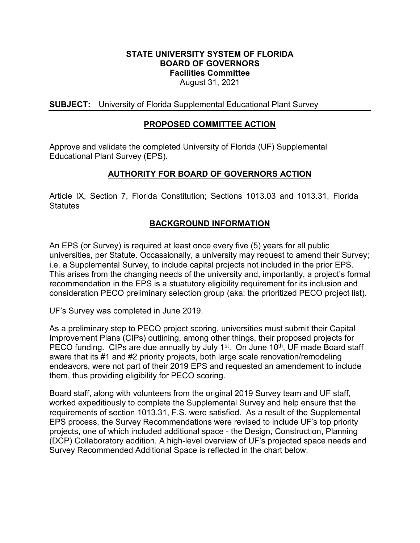#### **STATE UNIVERSITY SYSTEM OF FLORIDA BOARD OF GOVERNORS Facilities Committee** August 31, 2021

**SUBJECT:** University of Florida Supplemental Educational Plant Survey

## **PROPOSED COMMITTEE ACTION**

Approve and validate the completed University of Florida (UF) Supplemental Educational Plant Survey (EPS).

# **AUTHORITY FOR BOARD OF GOVERNORS ACTION**

Article IX, Section 7, Florida Constitution; Sections 1013.03 and 1013.31, Florida **Statutes** 

# **BACKGROUND INFORMATION**

An EPS (or Survey) is required at least once every five (5) years for all public universities, per Statute. Occassionally, a university may request to amend their Survey; i.e. a Supplemental Survey, to include capital projects not included in the prior EPS. This arises from the changing needs of the university and, importantly, a project's formal recommendation in the EPS is a stuatutory eligibility requirement for its inclusion and consideration PECO preliminary selection group (aka: the prioritized PECO project list).

UF's Survey was completed in June 2019.

As a preliminary step to PECO project scoring, universities must submit their Capital Improvement Plans (CIPs) outlining, among other things, their proposed projects for PECO funding. CIPs are due annually by July 1<sup>st</sup>. On June 10<sup>th</sup>, UF made Board staff aware that its #1 and #2 priority projects, both large scale renovation/remodeling endeavors, were not part of their 2019 EPS and requested an amendement to include them, thus providing eligibility for PECO scoring.

Board staff, along with volunteers from the original 2019 Survey team and UF staff, worked expeditiously to complete the Supplemental Survey and help ensure that the requirements of section 1013.31, F.S. were satisfied. As a result of the Supplemental EPS process, the Survey Recommendations were revised to include UF's top priority projects, one of which included additional space - the Design, Construction, Planning (DCP) Collaboratory addition. A high-level overview of UF's projected space needs and Survey Recommended Additional Space is reflected in the chart below.